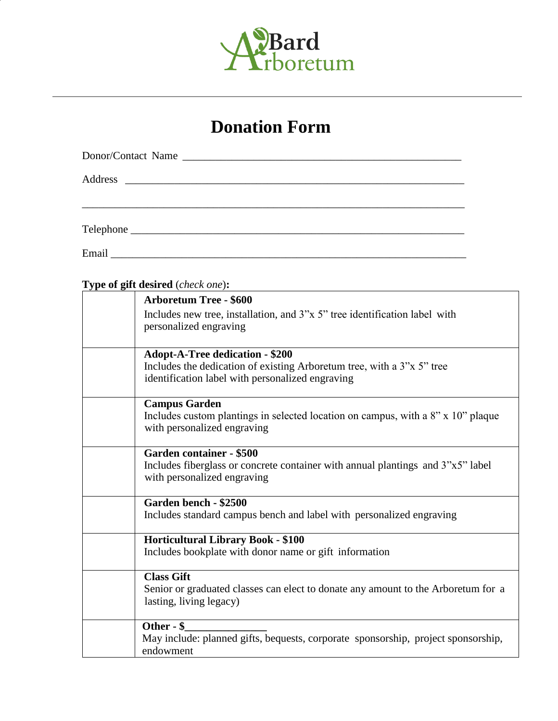

## **Donation Form**

## **Type of gift desired** (*check one*)**:**

| <b>Arboretum Tree - \$600</b>                                                     |
|-----------------------------------------------------------------------------------|
| Includes new tree, installation, and 3"x 5" tree identification label with        |
| personalized engraving                                                            |
|                                                                                   |
| <b>Adopt-A-Tree dedication - \$200</b>                                            |
| Includes the dedication of existing Arboretum tree, with a 3"x 5" tree            |
| identification label with personalized engraving                                  |
|                                                                                   |
| <b>Campus Garden</b>                                                              |
| Includes custom plantings in selected location on campus, with a 8" x 10" plaque  |
| with personalized engraving                                                       |
|                                                                                   |
| Garden container - \$500                                                          |
| Includes fiberglass or concrete container with annual plantings and 3"x5" label   |
| with personalized engraving                                                       |
|                                                                                   |
| Garden bench - \$2500                                                             |
| Includes standard campus bench and label with personalized engraving              |
|                                                                                   |
| <b>Horticultural Library Book - \$100</b>                                         |
| Includes bookplate with donor name or gift information                            |
|                                                                                   |
| <b>Class Gift</b>                                                                 |
| Senior or graduated classes can elect to donate any amount to the Arboretum for a |
| lasting, living legacy)                                                           |
|                                                                                   |
| Other - \$                                                                        |
| May include: planned gifts, bequests, corporate sponsorship, project sponsorship, |
| endowment                                                                         |